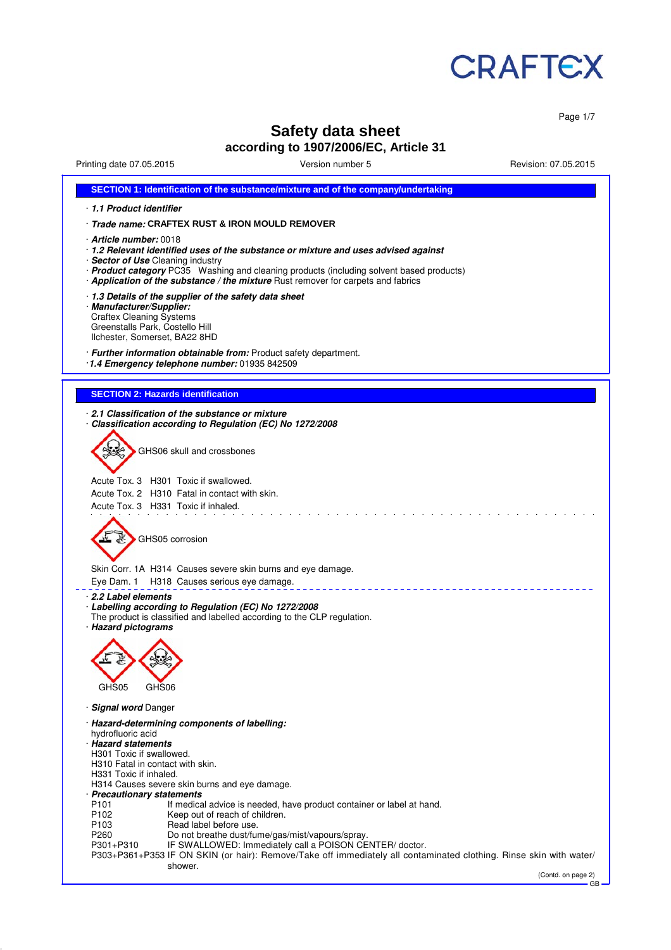

Page 1/7

# **Safety data sheet according to 1907/2006/EC, Article 31**

Printing date 07.05.2015 Version number 5 Revision: 07.05.2015

| SECTION 1: Identification of the substance/mixture and of the company/undertaking                                                                                                                                                                                                                                                   |
|-------------------------------------------------------------------------------------------------------------------------------------------------------------------------------------------------------------------------------------------------------------------------------------------------------------------------------------|
| 1.1 Product identifier                                                                                                                                                                                                                                                                                                              |
| · Trade name: CRAFTEX RUST & IRON MOULD REMOVER                                                                                                                                                                                                                                                                                     |
| · Article number: 0018<br>· 1.2 Relevant identified uses of the substance or mixture and uses advised against<br>· Sector of Use Cleaning industry<br>· Product category PC35 Washing and cleaning products (including solvent based products)<br>· Application of the substance / the mixture Rust remover for carpets and fabrics |
| 1.3 Details of the supplier of the safety data sheet<br>· Manufacturer/Supplier:<br><b>Craftex Cleaning Systems</b><br>Greenstalls Park, Costello Hill<br>Ilchester, Somerset, BA22 8HD                                                                                                                                             |
| · Further information obtainable from: Product safety department.<br>1.4 Emergency telephone number: 01935 842509                                                                                                                                                                                                                   |
| <b>SECTION 2: Hazards identification</b>                                                                                                                                                                                                                                                                                            |
|                                                                                                                                                                                                                                                                                                                                     |
| 2.1 Classification of the substance or mixture<br>Classification according to Regulation (EC) No 1272/2008<br>GHS06 skull and crossbones                                                                                                                                                                                            |
|                                                                                                                                                                                                                                                                                                                                     |
| Acute Tox. 3 H301 Toxic if swallowed.<br>Acute Tox. 2 H310 Fatal in contact with skin.<br>Acute Tox. 3 H331 Toxic if inhaled.                                                                                                                                                                                                       |
| GHS05 corrosion                                                                                                                                                                                                                                                                                                                     |
| Skin Corr. 1A H314 Causes severe skin burns and eye damage.<br>H318 Causes serious eye damage.<br>Eye Dam. 1                                                                                                                                                                                                                        |
| 2.2 Label elements<br>· Labelling according to Regulation (EC) No 1272/2008<br>The product is classified and labelled according to the CLP regulation.<br>· Hazard pictograms                                                                                                                                                       |
| GHS05                                                                                                                                                                                                                                                                                                                               |
| GHS06                                                                                                                                                                                                                                                                                                                               |
| · Signal word Danger                                                                                                                                                                                                                                                                                                                |
| · Hazard-determining components of labelling:<br>hydrofluoric acid<br>· Hazard statements<br>H301 Toxic if swallowed.<br>H310 Fatal in contact with skin.<br>H331 Toxic if inhaled.<br>H314 Causes severe skin burns and eye damage.<br>· Precautionary statements                                                                  |
| P <sub>101</sub><br>If medical advice is needed, have product container or label at hand.<br>P102<br>Keep out of reach of children.<br>Read label before use.<br>P <sub>103</sub>                                                                                                                                                   |
| P <sub>260</sub><br>Do not breathe dust/fume/gas/mist/vapours/spray.<br>IF SWALLOWED: Immediately call a POISON CENTER/doctor.<br>P301+P310<br>P303+P361+P353 IF ON SKIN (or hair): Remove/Take off immediately all contaminated clothing. Rinse skin with water/<br>shower.                                                        |
| (Contd. on page 2)<br>$GB -$                                                                                                                                                                                                                                                                                                        |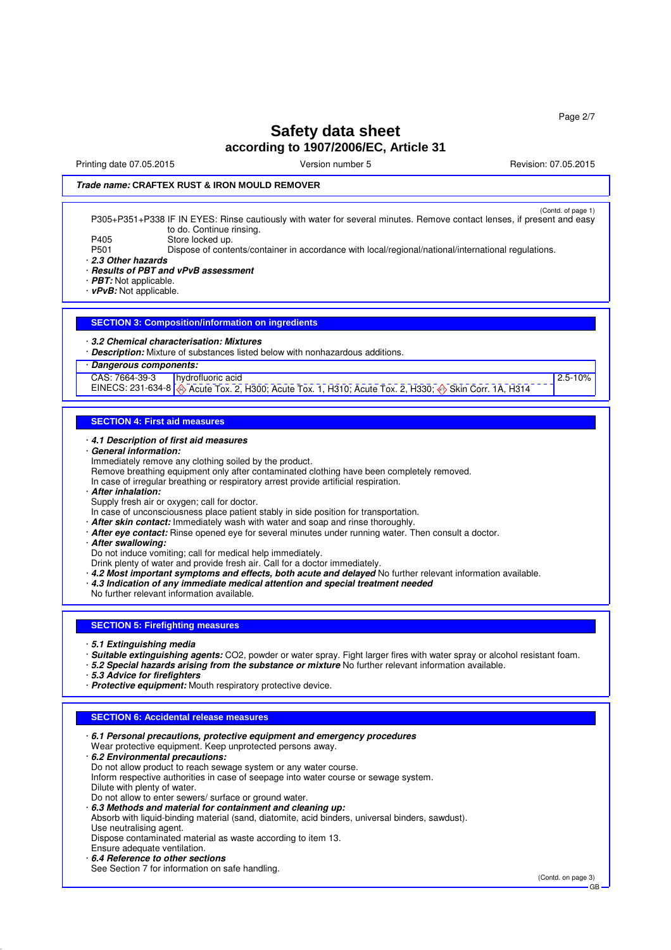$2.5 - 10%$ 

## **Safety data sheet according to 1907/2006/EC, Article 31**

Printing date 07.05.2015 **Principal and COVID-100** Version number 5 Revision: 07.05.2015

### **Trade name: CRAFTEX RUST & IRON MOULD REMOVER**

(Contd. of page 1) Contd. of page 1)<br>P305+P351+P338 IF IN EYES: Rinse cautiously with water for several minutes. Remove contact lenses, if present and easy to do. Continue rinsing. P405 Store locked up.<br>P501 Dispose of conte Dispose of contents/container in accordance with local/regional/national/international regulations.

· **2.3 Other hazards**

· **Results of PBT and vPvB assessment**

· **PBT:** Not applicable.

· **vPvB:** Not applicable.

#### **SECTION 3: Composition/information on ingredients**

#### · **3.2 Chemical characterisation: Mixtures**

· **Description:** Mixture of substances listed below with nonhazardous additions.

### · **Dangerous components:**

CAS: 7664-39-3 hydrofluoric acid

EINECS: 231-634-8  $\bigotimes$  Acute Tox. 2, H300; Acute Tox. 1, H310; Acute Tox. 2, H330;  $\bigotimes$  Skin Corr. 1A, H314

#### **SECTION 4: First aid measures**

#### · **4.1 Description of first aid measures**

- · **General information:**
- Immediately remove any clothing soiled by the product.
- Remove breathing equipment only after contaminated clothing have been completely removed.
- In case of irregular breathing or respiratory arrest provide artificial respiration.
- · **After inhalation:**
- Supply fresh air or oxygen; call for doctor.
- In case of unconsciousness place patient stably in side position for transportation.
- · **After skin contact:** Immediately wash with water and soap and rinse thoroughly.
- · **After eye contact:** Rinse opened eye for several minutes under running water. Then consult a doctor.
- · **After swallowing:**

Do not induce vomiting; call for medical help immediately.

- Drink plenty of water and provide fresh air. Call for a doctor immediately.
- · **4.2 Most important symptoms and effects, both acute and delayed** No further relevant information available.
- · **4.3 Indication of any immediate medical attention and special treatment needed**
- No further relevant information available.

#### **SECTION 5: Firefighting measures**

- · **5.1 Extinguishing media**
- · **Suitable extinguishing agents:** CO2, powder or water spray. Fight larger fires with water spray or alcohol resistant foam.
- · **5.2 Special hazards arising from the substance or mixture** No further relevant information available.
- · **5.3 Advice for firefighters**
- · **Protective equipment:** Mouth respiratory protective device.

#### **SECTION 6: Accidental release measures**

| $\cdot$ 6.1 Personal precautions, protective equipment and emergency procedures                  |                    |
|--------------------------------------------------------------------------------------------------|--------------------|
| Wear protective equipment. Keep unprotected persons away.                                        |                    |
| 6.2 Environmental precautions:                                                                   |                    |
| Do not allow product to reach sewage system or any water course.                                 |                    |
| Inform respective authorities in case of seepage into water course or sewage system.             |                    |
| Dilute with plenty of water.                                                                     |                    |
| Do not allow to enter sewers/ surface or ground water.                                           |                    |
| 6.3 Methods and material for containment and cleaning up:                                        |                    |
| Absorb with liquid-binding material (sand, diatomite, acid binders, universal binders, sawdust). |                    |
| Use neutralising agent.                                                                          |                    |
| Dispose contaminated material as waste according to item 13.                                     |                    |
| Ensure adequate ventilation.                                                                     |                    |
| 6.4 Reference to other sections                                                                  |                    |
| See Section 7 for information on safe handling.                                                  |                    |
|                                                                                                  | (Contd. on page 3) |
|                                                                                                  | GB                 |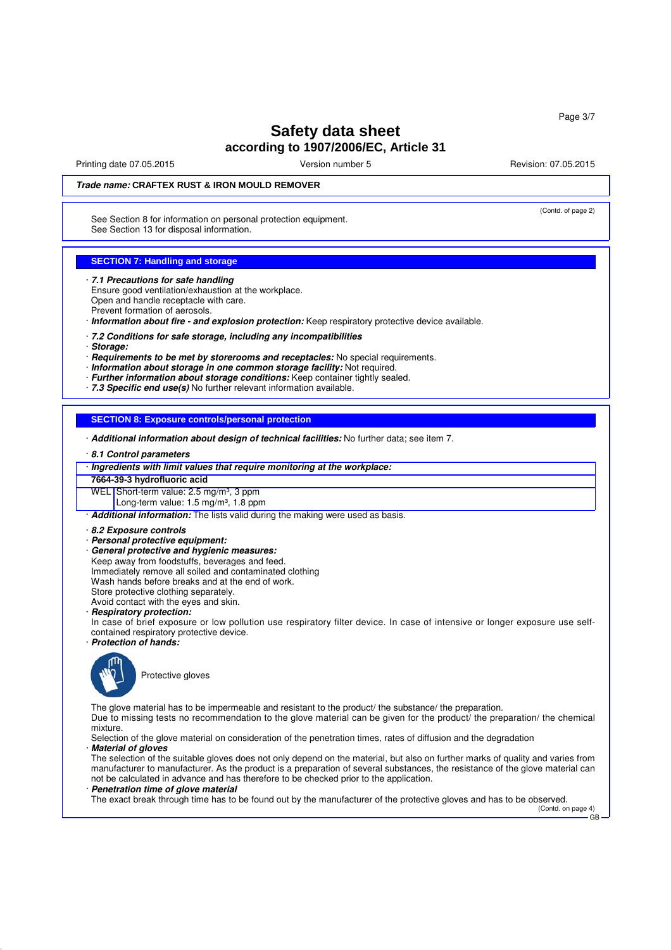Printing date 07.05.2015 **Principal and COVID-100** Version number 5 Revision: 07.05.2015

(Contd. of page 2)

### **Trade name: CRAFTEX RUST & IRON MOULD REMOVER**

See Section 8 for information on personal protection equipment. See Section 13 for disposal information.

#### **SECTION 7: Handling and storage**

- · **7.1 Precautions for safe handling**
- Ensure good ventilation/exhaustion at the workplace. Open and handle receptacle with care. Prevent formation of aerosols.
- · **Information about fire and explosion protection:** Keep respiratory protective device available.
- · **7.2 Conditions for safe storage, including any incompatibilities**
- · **Storage:**
- · **Requirements to be met by storerooms and receptacles:** No special requirements.
- · **Information about storage in one common storage facility:** Not required.
- · **Further information about storage conditions:** Keep container tightly sealed.
- · **7.3 Specific end use(s)** No further relevant information available.

**SECTION 8: Exposure controls/personal protection**

- · **Additional information about design of technical facilities:** No further data; see item 7.
- · **8.1 Control parameters**
- · **Ingredients with limit values that require monitoring at the workplace:**
- **7664-39-3 hydrofluoric acid**
- WEL Short-term value: 2.5 mg/m<sup>3</sup>, 3 ppm
	- Long-term value:  $1.5 \text{ mg/m}^3$ ,  $1.8 \text{ ppm}$
- · **Additional information:** The lists valid during the making were used as basis.
- · **8.2 Exposure controls**
- · **Personal protective equipment:**
- · **General protective and hygienic measures:**
- Keep away from foodstuffs, beverages and feed.
- Immediately remove all soiled and contaminated clothing
- Wash hands before breaks and at the end of work.
- Store protective clothing separately.
- Avoid contact with the eyes and skin.
- · **Respiratory protection:**
- In case of brief exposure or low pollution use respiratory filter device. In case of intensive or longer exposure use selfcontained respiratory protective device.
- · **Protection of hands:**



Protective gloves

The glove material has to be impermeable and resistant to the product/ the substance/ the preparation.

Due to missing tests no recommendation to the glove material can be given for the product/ the preparation/ the chemical mixture. Selection of the glove material on consideration of the penetration times, rates of diffusion and the degradation

· **Material of gloves**

The selection of the suitable gloves does not only depend on the material, but also on further marks of quality and varies from manufacturer to manufacturer. As the product is a preparation of several substances, the resistance of the glove material can not be calculated in advance and has therefore to be checked prior to the application.

· **Penetration time of glove material**

The exact break through time has to be found out by the manufacturer of the protective gloves and has to be observed.

(Contd. on page 4) GB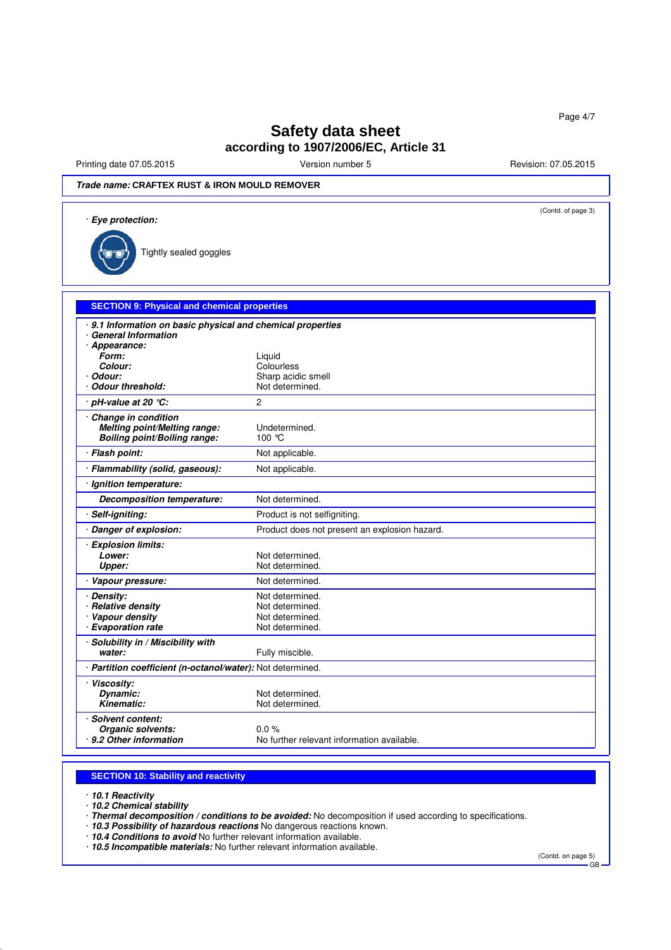Printing date 07.05.2015 **Version number 5** Revision: 07.05.2015 **Revision: 07.05.2015** 

## **Trade name: CRAFTEX RUST & IRON MOULD REMOVER**

| · Eye protection:                                           |                                                       |
|-------------------------------------------------------------|-------------------------------------------------------|
| Tightly sealed goggles                                      |                                                       |
|                                                             |                                                       |
| <b>SECTION 9: Physical and chemical properties</b>          |                                                       |
| · 9.1 Information on basic physical and chemical properties |                                                       |
| · General Information<br>· Appearance:                      |                                                       |
| Form:                                                       | Liquid                                                |
| Colour:                                                     | Colourless                                            |
| · Odour:                                                    | Sharp acidic smell                                    |
| <b>Odour threshold:</b>                                     | Not determined.                                       |
| · pH-value at 20 ℃:                                         | $\overline{c}$                                        |
| Change in condition                                         |                                                       |
| <b>Melting point/Melting range:</b>                         | Undetermined.                                         |
| <b>Boiling point/Boiling range:</b>                         | 100 °C                                                |
| · Flash point:                                              | Not applicable.                                       |
| · Flammability (solid, gaseous):                            | Not applicable.                                       |
| · Ignition temperature:                                     |                                                       |
| Decomposition temperature:                                  | Not determined.                                       |
| · Self-igniting:                                            | Product is not selfigniting.                          |
| · Danger of explosion:                                      | Product does not present an explosion hazard.         |
| · Explosion limits:                                         |                                                       |
| Lower:                                                      | Not determined.                                       |
| <b>Upper:</b>                                               | Not determined.                                       |
| · Vapour pressure:                                          | Not determined.                                       |
| · Densitv:                                                  | Not determined.                                       |
| · Relative density                                          | Not determined.                                       |
| · Vapour density                                            | Not determined.                                       |
| · Evaporation rate                                          | Not determined.                                       |
| · Solubility in / Miscibility with                          |                                                       |
| water:                                                      | Fully miscible.                                       |
| · Partition coefficient (n-octanol/water): Not determined.  |                                                       |
| · Viscosity:                                                |                                                       |
| Dynamic:                                                    | Not determined.                                       |
| <b>Kinematic:</b>                                           | Not determined.                                       |
| <b>Solvent content:</b>                                     |                                                       |
| Organic solvents:<br>9.2 Other information                  | $0.0\%$<br>No further relevant information available. |

#### **SECTION 10: Stability and reactivity**

· **10.1 Reactivity**

· **10.2 Chemical stability**

· **Thermal decomposition / conditions to be avoided:** No decomposition if used according to specifications.

· **10.3 Possibility of hazardous reactions** No dangerous reactions known.

· **10.4 Conditions to avoid** No further relevant information available.

· **10.5 Incompatible materials:** No further relevant information available.

(Contd. on page 5)

GB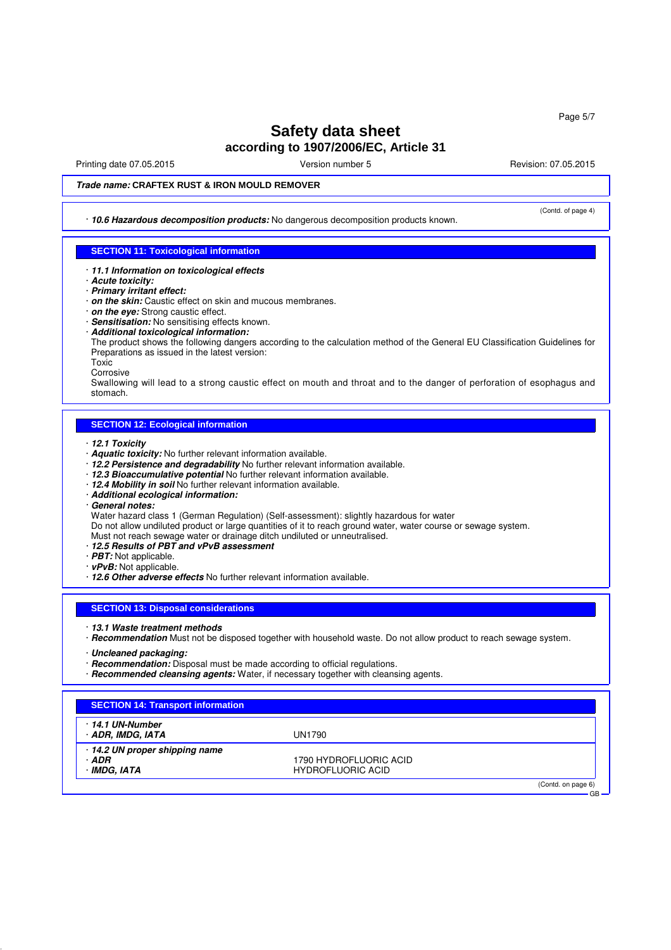Printing date 07.05.2015 **Principal and COVID-100** Version number 5 Revision: 07.05.2015

(Contd. of page 4)

GB

## **Trade name: CRAFTEX RUST & IRON MOULD REMOVER**

· **10.6 Hazardous decomposition products:** No dangerous decomposition products known.

## **SECTION 11: Toxicological information**

- · **11.1 Information on toxicological effects**
- · **Acute toxicity:**
- · **Primary irritant effect:**
- · **on the skin:** Caustic effect on skin and mucous membranes.
- · **on the eye:** Strong caustic effect.
- · **Sensitisation:** No sensitising effects known.
- · **Additional toxicological information:**

The product shows the following dangers according to the calculation method of the General EU Classification Guidelines for Preparations as issued in the latest version:

**Toxic** 

Corrosive

Swallowing will lead to a strong caustic effect on mouth and throat and to the danger of perforation of esophagus and stomach.

### **SECTION 12: Ecological information**

- · **12.1 Toxicity**
- · **Aquatic toxicity:** No further relevant information available.
- · **12.2 Persistence and degradability** No further relevant information available.
- · **12.3 Bioaccumulative potential** No further relevant information available.
- · **12.4 Mobility in soil** No further relevant information available.
- · **Additional ecological information:**
- · **General notes:**

Water hazard class 1 (German Regulation) (Self-assessment): slightly hazardous for water

Do not allow undiluted product or large quantities of it to reach ground water, water course or sewage system.

Must not reach sewage water or drainage ditch undiluted or unneutralised.

- · **12.5 Results of PBT and vPvB assessment**
- · **PBT:** Not applicable.
- · **vPvB:** Not applicable.
- · **12.6 Other adverse effects** No further relevant information available.

#### **SECTION 13: Disposal considerations**

- · **13.1 Waste treatment methods**
- · **Recommendation** Must not be disposed together with household waste. Do not allow product to reach sewage system.
- · **Uncleaned packaging:**
- · **Recommendation:** Disposal must be made according to official regulations.
- · **Recommended cleansing agents:** Water, if necessary together with cleansing agents.

### **SECTION 14: Transport information**

| · 14.1 UN-Number<br>· ADR, IMDG, IATA | UN1790                   |                    |
|---------------------------------------|--------------------------|--------------------|
| 14.2 UN proper shipping name          |                          |                    |
| · ADR                                 | 1790 HYDROFLUORIC ACID   |                    |
| · IMDG, IATA                          | <b>HYDROFLUORIC ACID</b> |                    |
|                                       |                          | (Contd. on page 6) |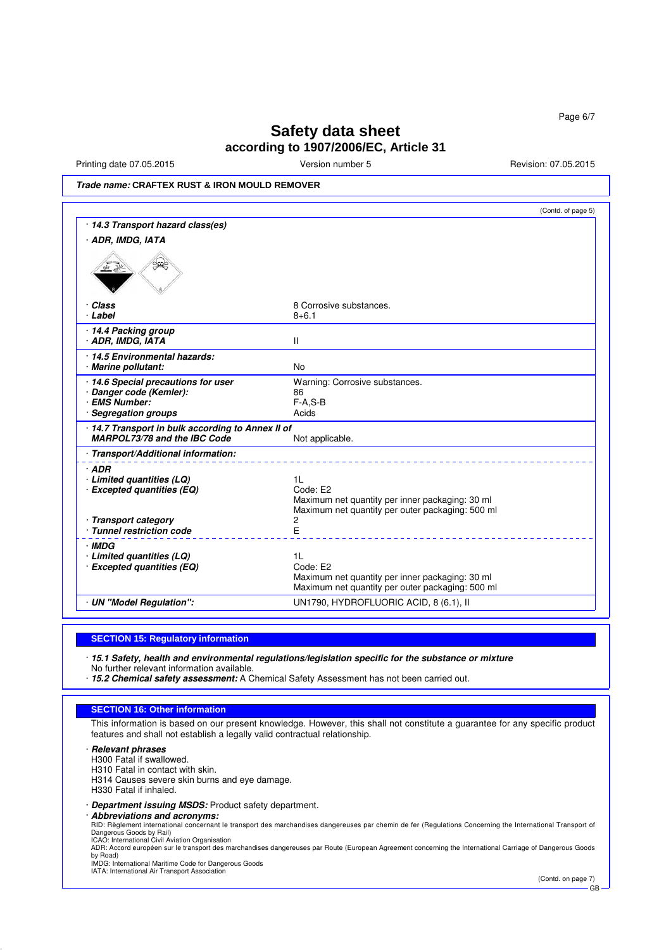Printing date 07.05.2015 **Version number 5** Revision: 07.05.2015 **Revision: 07.05.2015** 

**Trade name: CRAFTEX RUST & IRON MOULD REMOVER**

|                                                                                   | (Contd. of page 5)                                                                                                                |
|-----------------------------------------------------------------------------------|-----------------------------------------------------------------------------------------------------------------------------------|
| · 14.3 Transport hazard class(es)                                                 |                                                                                                                                   |
| · ADR, IMDG, IATA                                                                 |                                                                                                                                   |
|                                                                                   |                                                                                                                                   |
| · Class                                                                           | 8 Corrosive substances.                                                                                                           |
| · Label                                                                           | $8 + 6.1$                                                                                                                         |
| 14.4 Packing group<br>· ADR, IMDG, IATA                                           | Ш                                                                                                                                 |
| · 14.5 Environmental hazards:                                                     |                                                                                                                                   |
| · Marine pollutant:                                                               | <b>No</b>                                                                                                                         |
| 14.6 Special precautions for user                                                 | Warning: Corrosive substances.                                                                                                    |
| · Danger code (Kemler):<br>· EMS Number:                                          | 86                                                                                                                                |
| <b>Segregation groups</b>                                                         | $F-A.S-B$<br>Acids                                                                                                                |
| · 14.7 Transport in bulk according to Annex II of<br>MARPOL73/78 and the IBC Code | Not applicable.                                                                                                                   |
| · Transport/Additional information:                                               |                                                                                                                                   |
| $·$ ADR<br>$\cdot$ Limited quantities (LQ)<br>· Excepted quantities (EQ)          | 1 <sub>L</sub><br>Code: E2<br>Maximum net quantity per inner packaging: 30 ml<br>Maximum net quantity per outer packaging: 500 ml |
| · Transport category<br>· Tunnel restriction code                                 | 2<br>E                                                                                                                            |
| · IMDG<br>· Limited quantities (LQ)                                               | 1 <sup>L</sup>                                                                                                                    |
| · Excepted quantities (EQ)                                                        | Code: E2<br>Maximum net quantity per inner packaging: 30 ml<br>Maximum net quantity per outer packaging: 500 ml                   |
| · UN "Model Regulation":                                                          | UN1790, HYDROFLUORIC ACID, 8 (6.1), II                                                                                            |

#### **SECTION 15: Regulatory information**

· **15.1 Safety, health and environmental regulations/legislation specific for the substance or mixture** No further relevant information available.

· **15.2 Chemical safety assessment:** A Chemical Safety Assessment has not been carried out.

#### **SECTION 16: Other information**

This information is based on our present knowledge. However, this shall not constitute a guarantee for any specific product features and shall not establish a legally valid contractual relationship.

### · **Relevant phrases**

H300 Fatal if swallowed.

H310 Fatal in contact with skin.

H314 Causes severe skin burns and eye damage.

H330 Fatal if inhaled.

· **Department issuing MSDS:** Product safety department.

· **Abbreviations and acronyms:**

RID: Règlement international concernant le transport des marchandises dangereuses par chemin de fer (Regulations Concerning the International Transport of<br>Dangerous Goods by Rail)<br>ICAO: International Civil Aviation Organis

ADR: Accord européen sur le transport des marchandises dangereuses par Route (European Agreement concerning the International Carriage of Dangerous Goods by Road)

IMDG: International Maritime Code for Dangerous Goods IATA: International Air Transport Association

(Contd. on page 7) GB